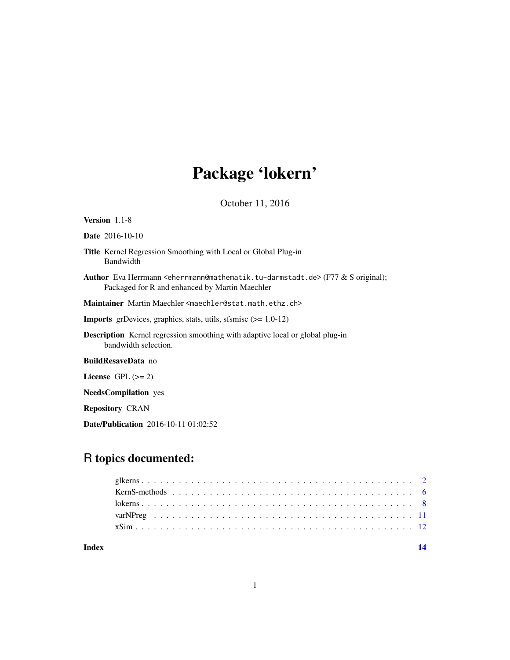# Package 'lokern'

October 11, 2016

<span id="page-0-0"></span>

| <b>Version</b> $1.1-8$                                                                                                                                                       |
|------------------------------------------------------------------------------------------------------------------------------------------------------------------------------|
| <b>Date</b> 2016-10-10                                                                                                                                                       |
| <b>Title</b> Kernel Regression Smoothing with Local or Global Plug-in<br>Bandwidth                                                                                           |
| Author Eva Herrmann <eherrmann@mathematik.tu-darmstadt.de> (F77 &amp; S original);<br/>Packaged for R and enhanced by Martin Maechler</eherrmann@mathematik.tu-darmstadt.de> |
| Maintainer Martin Maechler <maechler@stat.math.ethz.ch></maechler@stat.math.ethz.ch>                                                                                         |
| <b>Imports</b> grDevices, graphics, stats, utils, sfsmisc $(>= 1.0-12)$                                                                                                      |
| <b>Description</b> Kernel regression smoothing with adaptive local or global plug-in<br>bandwidth selection.                                                                 |
| <b>BuildResaveData</b> no                                                                                                                                                    |
| License $GPL (= 2)$                                                                                                                                                          |
| <b>NeedsCompilation</b> yes                                                                                                                                                  |
| <b>Repository CRAN</b>                                                                                                                                                       |
|                                                                                                                                                                              |

Date/Publication 2016-10-11 01:02:52

### R topics documented:

**Index** 2008 **[14](#page-13-0)**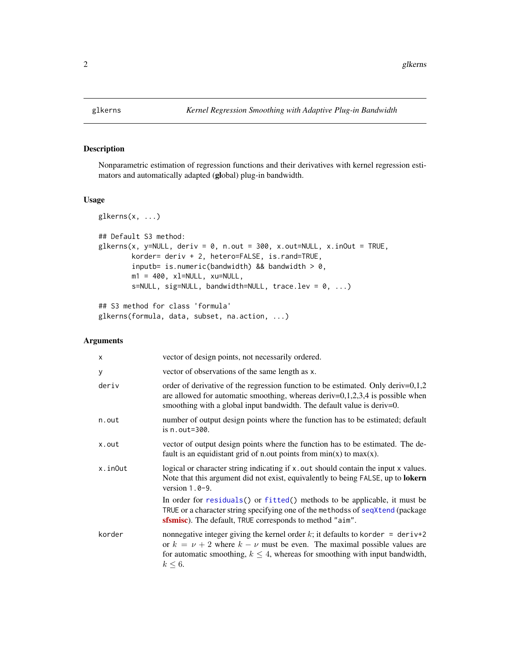<span id="page-1-1"></span><span id="page-1-0"></span>

#### Description

Nonparametric estimation of regression functions and their derivatives with kernel regression estimators and automatically adapted (global) plug-in bandwidth.

#### Usage

```
glkerns(x, ...)
## Default S3 method:
glkerns(x, y=NULL, deriv = 0, n.out = 300, x.out=NULL, x.inOut = TRUE,
        korder= deriv + 2, hetero=FALSE, is.rand=TRUE,
        inputb= is.numeric(bandwidth) && bandwidth > 0,
        m1 = 400, xl=NULL, xu=NULL,
        s=NULL, sig=NULL, bandwidth=NULL, trace.lev = 0, ...)## S3 method for class 'formula'
```
glkerns(formula, data, subset, na.action, ...)

#### Arguments

| $\times$ | vector of design points, not necessarily ordered.                                                                                                                                                                                                                       |
|----------|-------------------------------------------------------------------------------------------------------------------------------------------------------------------------------------------------------------------------------------------------------------------------|
| У        | vector of observations of the same length as x.                                                                                                                                                                                                                         |
| deriv    | order of derivative of the regression function to be estimated. Only deriv= $0,1,2$<br>are allowed for automatic smoothing, whereas deriv= $0,1,2,3,4$ is possible when<br>smoothing with a global input bandwidth. The default value is deriv=0.                       |
| n.out    | number of output design points where the function has to be estimated; default<br>is $n.out = 300$ .                                                                                                                                                                    |
| x.out    | vector of output design points where the function has to be estimated. The de-<br>fault is an equidistant grid of n.out points from $min(x)$ to $max(x)$ .                                                                                                              |
| x.inOut  | logical or character string indicating if x out should contain the input x values.<br>Note that this argument did not exist, equivalently to being FALSE, up to lokern<br>version $1.0 - 9$ .                                                                           |
|          | In order for residuals() or fitted() methods to be applicable, it must be<br>TRUE or a character string specifying one of the methodss of seqXtend (package<br><b>sfsmise</b> ). The default, TRUE corresponds to method "aim".                                         |
| korder   | nonnegative integer giving the kernel order k; it defaults to korder = $deriv+2$<br>or $k = \nu + 2$ where $k - \nu$ must be even. The maximal possible values are<br>for automatic smoothing, $k \leq 4$ , whereas for smoothing with input bandwidth,<br>$k \leq 6$ . |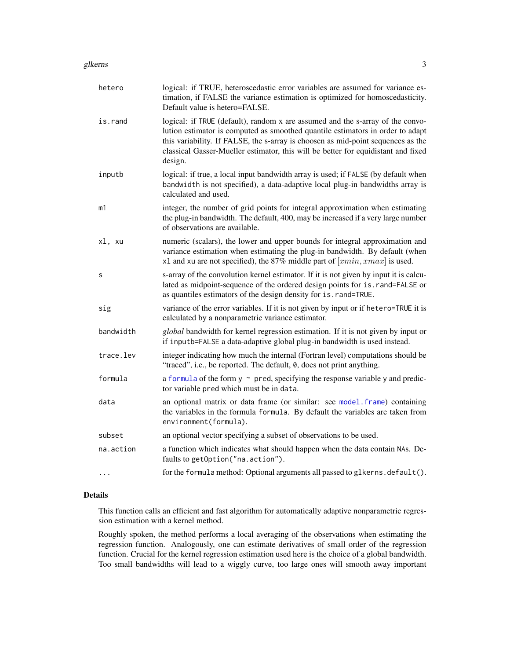#### <span id="page-2-0"></span>glkerns 3

| hetero    | logical: if TRUE, heteroscedastic error variables are assumed for variance es-<br>timation, if FALSE the variance estimation is optimized for homoscedasticity.<br>Default value is hetero=FALSE.                                                                                                                                                    |
|-----------|------------------------------------------------------------------------------------------------------------------------------------------------------------------------------------------------------------------------------------------------------------------------------------------------------------------------------------------------------|
| is.rand   | logical: if TRUE (default), random x are assumed and the s-array of the convo-<br>lution estimator is computed as smoothed quantile estimators in order to adapt<br>this variability. If FALSE, the s-array is choosen as mid-point sequences as the<br>classical Gasser-Mueller estimator, this will be better for equidistant and fixed<br>design. |
| inputb    | logical: if true, a local input bandwidth array is used; if FALSE (by default when<br>bandwidth is not specified), a data-adaptive local plug-in bandwidths array is<br>calculated and used.                                                                                                                                                         |
| m1        | integer, the number of grid points for integral approximation when estimating<br>the plug-in bandwidth. The default, 400, may be increased if a very large number<br>of observations are available.                                                                                                                                                  |
| xl, xu    | numeric (scalars), the lower and upper bounds for integral approximation and<br>variance estimation when estimating the plug-in bandwidth. By default (when<br>x1 and xu are not specified), the 87% middle part of $[xmin, xmax]$ is used.                                                                                                          |
| S         | s-array of the convolution kernel estimator. If it is not given by input it is calcu-<br>lated as midpoint-sequence of the ordered design points for is.rand=FALSE or<br>as quantiles estimators of the design density for is. rand=TRUE.                                                                                                            |
| sig       | variance of the error variables. If it is not given by input or if hetero=TRUE it is<br>calculated by a nonparametric variance estimator.                                                                                                                                                                                                            |
| bandwidth | global bandwidth for kernel regression estimation. If it is not given by input or<br>if inputb=FALSE a data-adaptive global plug-in bandwidth is used instead.                                                                                                                                                                                       |
| trace.lev | integer indicating how much the internal (Fortran level) computations should be<br>"traced", i.e., be reported. The default, 0, does not print anything.                                                                                                                                                                                             |
| formula   | a formula of the form $y \sim$ pred, specifying the response variable y and predic-<br>tor variable pred which must be in data.                                                                                                                                                                                                                      |
| data      | an optional matrix or data frame (or similar: see model.frame) containing<br>the variables in the formula formula. By default the variables are taken from<br>environment(formula).                                                                                                                                                                  |
| subset    | an optional vector specifying a subset of observations to be used.                                                                                                                                                                                                                                                                                   |
| na.action | a function which indicates what should happen when the data contain NAs. De-<br>faults to getOption("na.action").                                                                                                                                                                                                                                    |
|           | for the formula method: Optional arguments all passed to glkerns.default().                                                                                                                                                                                                                                                                          |

#### Details

This function calls an efficient and fast algorithm for automatically adaptive nonparametric regression estimation with a kernel method.

Roughly spoken, the method performs a local averaging of the observations when estimating the regression function. Analogously, one can estimate derivatives of small order of the regression function. Crucial for the kernel regression estimation used here is the choice of a global bandwidth. Too small bandwidths will lead to a wiggly curve, too large ones will smooth away important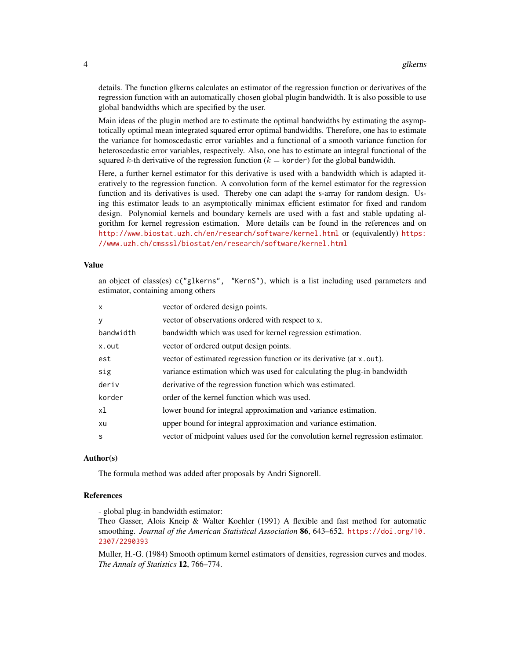details. The function glkerns calculates an estimator of the regression function or derivatives of the regression function with an automatically chosen global plugin bandwidth. It is also possible to use global bandwidths which are specified by the user.

Main ideas of the plugin method are to estimate the optimal bandwidths by estimating the asymptotically optimal mean integrated squared error optimal bandwidths. Therefore, one has to estimate the variance for homoscedastic error variables and a functional of a smooth variance function for heteroscedastic error variables, respectively. Also, one has to estimate an integral functional of the squared k-th derivative of the regression function ( $k =$  korder) for the global bandwidth.

Here, a further kernel estimator for this derivative is used with a bandwidth which is adapted iteratively to the regression function. A convolution form of the kernel estimator for the regression function and its derivatives is used. Thereby one can adapt the s-array for random design. Using this estimator leads to an asymptotically minimax efficient estimator for fixed and random design. Polynomial kernels and boundary kernels are used with a fast and stable updating algorithm for kernel regression estimation. More details can be found in the references and on <http://www.biostat.uzh.ch/en/research/software/kernel.html> or (equivalently) [https:](https://www.uzh.ch/cmsssl/biostat/en/research/software/kernel.html) [//www.uzh.ch/cmsssl/biostat/en/research/software/kernel.html](https://www.uzh.ch/cmsssl/biostat/en/research/software/kernel.html)

#### Value

an object of class(es) c("glkerns", "KernS"), which is a list including used parameters and estimator, containing among others

| $\times$  | vector of ordered design points.                                                |
|-----------|---------------------------------------------------------------------------------|
| У         | vector of observations ordered with respect to x.                               |
| bandwidth | bandwidth which was used for kernel regression estimation.                      |
| x.out     | vector of ordered output design points.                                         |
| est       | vector of estimated regression function or its derivative (at x.out).           |
| sig       | variance estimation which was used for calculating the plug-in bandwidth        |
| deriv     | derivative of the regression function which was estimated.                      |
| korder    | order of the kernel function which was used.                                    |
| xl        | lower bound for integral approximation and variance estimation.                 |
| xu        | upper bound for integral approximation and variance estimation.                 |
| S         | vector of midpoint values used for the convolution kernel regression estimator. |
|           |                                                                                 |

#### Author(s)

The formula method was added after proposals by Andri Signorell.

#### References

- global plug-in bandwidth estimator:

Theo Gasser, Alois Kneip & Walter Koehler (1991) A flexible and fast method for automatic smoothing. *Journal of the American Statistical Association* 86, 643–652. [https://doi.org/10.](https://doi.org/10.2307/2290393) [2307/2290393](https://doi.org/10.2307/2290393)

Muller, H.-G. (1984) Smooth optimum kernel estimators of densities, regression curves and modes. *The Annals of Statistics* 12, 766–774.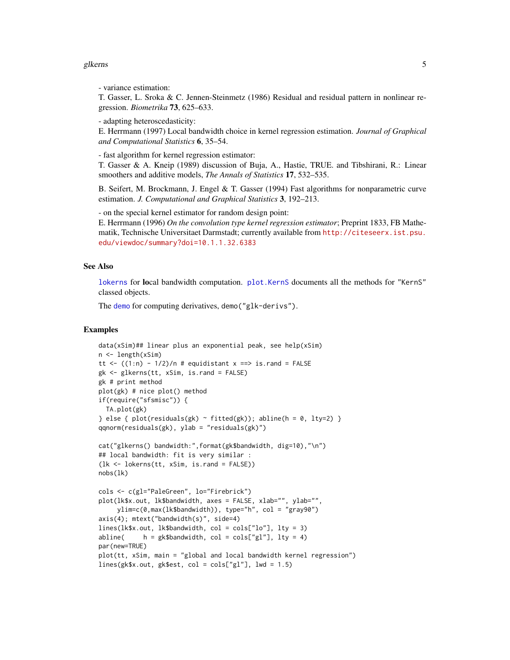#### <span id="page-4-0"></span>glkerns 5

- variance estimation:

T. Gasser, L. Sroka & C. Jennen-Steinmetz (1986) Residual and residual pattern in nonlinear regression. *Biometrika* 73, 625–633.

- adapting heteroscedasticity:

E. Herrmann (1997) Local bandwidth choice in kernel regression estimation. *Journal of Graphical and Computational Statistics* 6, 35–54.

- fast algorithm for kernel regression estimator:

T. Gasser & A. Kneip (1989) discussion of Buja, A., Hastie, TRUE. and Tibshirani, R.: Linear smoothers and additive models, *The Annals of Statistics* 17, 532–535.

B. Seifert, M. Brockmann, J. Engel & T. Gasser (1994) Fast algorithms for nonparametric curve estimation. *J. Computational and Graphical Statistics* 3, 192–213.

- on the special kernel estimator for random design point:

E. Herrmann (1996) *On the convolution type kernel regression estimator*; Preprint 1833, FB Mathematik, Technische Universitaet Darmstadt; currently available from [http://citeseerx.ist.psu.](http://citeseerx.ist.psu.edu/viewdoc/summary?doi=10.1.1.32.6383) [edu/viewdoc/summary?doi=10.1.1.32.6383](http://citeseerx.ist.psu.edu/viewdoc/summary?doi=10.1.1.32.6383)

#### See Also

[lokerns](#page-7-1) for local bandwidth computation. [plot.KernS](#page-5-1) documents all the methods for "KernS" classed objects.

The [demo](#page-0-0) for computing derivatives, demo("glk-derivs").

#### Examples

```
data(xSim)## linear plus an exponential peak, see help(xSim)
n <- length(xSim)
tt <- ((1:n) - 1/2)/n # equidistant x == > is.randomgk <- glkerns(tt, xSim, is.rand = FALSE)
gk # print method
plot(gk) # nice plot() method
if(require("sfsmisc")) {
 TA.plot(gk)
} else { plot(residuals(gk) \sim fitted(gk)); abline(h = 0, lty=2) }
qqnorm(residuals(gk), ylab = "residuals(gk)")
cat("glkerns() bandwidth:",format(gk$bandwidth, dig=10),"\n")
## local bandwidth: fit is very similar :
(lk <- lokerns(tt, xSim, is.rand = FALSE))
nobs(lk)
cols <- c(gl="PaleGreen", lo="Firebrick")
plot(lk$x.out, lk$bandwidth, axes = FALSE, xlab="", ylab="",
     ylim=c(0,max(lk$bandwidth)), type="h", col = "gray90")
axis(4); mtext("bandwidth(s)", side=4)
lines(lk$x.out, lk$bandwidth, col = cols["lo"], lty = 3)
abline( h = gk\bandwidth, col = cols['g1''], lty = 4)
par(new=TRUE)
plot(tt, xSim, main = "global and local bandwidth kernel regression")
lines(gk$x.out, gk$est, col = cols['g1''], lwd = 1.5)
```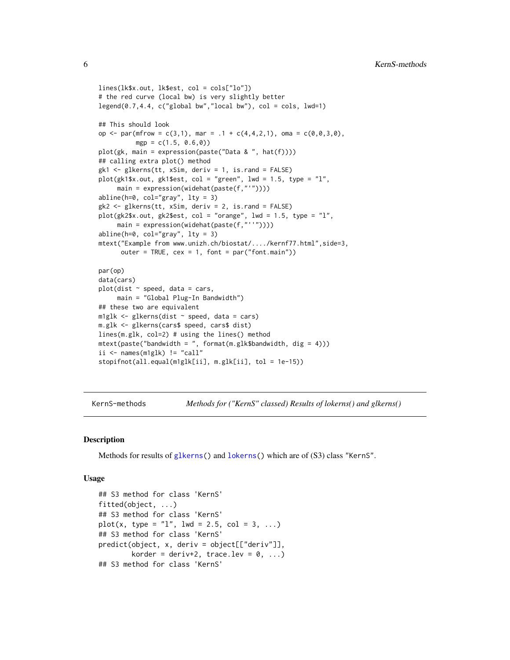```
lines(lk$x.out, lk$est, col = cols["lo"])
# the red curve (local bw) is very slightly better
legend(0.7, 4.4, c("global bw", "local bw"), col = cols, lwd=1)## This should look
op <- par(mfrow = c(3,1), mar = .1 + c(4,4,2,1), oma = c(0,0,3,0),
          mgp = c(1.5, 0.6, 0)plot(gk, main = expression(paste("Data & ", hat(f))))
## calling extra plot() method
gk1 <- glkerns(tt, xSim, deriv = 1, is.rand = FALSE)
plot(gk1$x.out, gk1$est, col = "green", lwd = 1.5, type = "l",
     main = expression(widehat(paste(f,"'"))))
abline(h=0, col="gray", lty = 3)
gk2 <- glkerns(tt, xSim, deriv = 2, is.rand = FALSE)
plot(gk2$x.out, gk2$est, col = "orange", lwd = 1.5, type = "l",
     main = expression(widehat(paste(f,"''"))))
abline(h=0, col="gray", lty = 3)
mtext("Example from www.unizh.ch/biostat/..../kernf77.html",side=3,
      outer = TRUE, cex = 1, font = par("font.mainloop")par(op)
data(cars)
plot(dist ~ speed, data = cars,
     main = "Global Plug-In Bandwidth")
## these two are equivalent
m1glk <- glkerns(dist ~ speed, data = cars)
m.glk <- glkerns(cars$ speed, cars$ dist)
lines(m.glk, col=2) # using the lines() method
mtext(paste("bandwidth = ", format(m.glk$bandwidth, dig = 4)))
ii <- names(m1glk) != "call"
stopifnot(all.equal(m1glk[ii], m.glk[ii], tol = 1e-15))
```
KernS-methods *Methods for ("KernS" classed) Results of lokerns() and glkerns()*

#### <span id="page-5-1"></span>Description

Methods for results of [glkerns\(](#page-1-1)) and [lokerns\(](#page-7-1)) which are of (S3) class "KernS".

#### Usage

```
## S3 method for class 'KernS'
fitted(object, ...)
## S3 method for class 'KernS'
plot(x, type = "1", lwd = 2.5, col = 3, ...)
## S3 method for class 'KernS'
predict(object, x, deriv = object[["deriv"]],
        korder = deriv+2, trace.lev = 0, ...)
## S3 method for class 'KernS'
```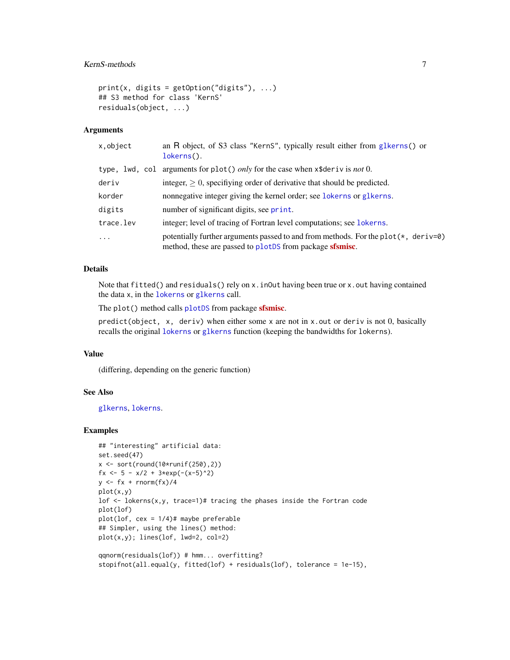#### <span id="page-6-0"></span>KernS-methods 7

```
print(x, \text{ digits} = getOption("digits"), ...)## S3 method for class 'KernS'
residuals(object, ...)
```
#### Arguments

| x,object  | an R object, of S3 class "KernS", typically result either from glkerns() or<br>lokerns().                                                              |
|-----------|--------------------------------------------------------------------------------------------------------------------------------------------------------|
|           | type, lwd, col arguments for plot() only for the case when $x$ \$deriv is not 0.                                                                       |
| deriv     | integer, $\geq 0$ , specifiving order of derivative that should be predicted.                                                                          |
| korder    | nonnegative integer giving the kernel order; see lokerns or glkerns.                                                                                   |
| digits    | number of significant digits, see print.                                                                                                               |
| trace.lev | integer; level of tracing of Fortran level computations; see lokerns.                                                                                  |
| $\ddots$  | potentially further arguments passed to and from methods. For the plot( $\star$ , deriv=0)<br>method, these are passed to plotDS from package sfsmisc. |

#### Details

Note that fitted() and residuals() rely on x. inOut having been true or x. out having contained the data x, in the [lokerns](#page-7-1) or [glkerns](#page-1-1) call.

The plot() method calls [plotDS](#page-0-0) from package **[sfsmisc](https://CRAN.R-project.org/package=sfsmisc)**.

 $predict(object, x, deriv)$  when either some x are not in x.out or deriv is not 0, basically recalls the original [lokerns](#page-7-1) or [glkerns](#page-1-1) function (keeping the bandwidths for lokerns).

#### Value

(differing, depending on the generic function)

#### See Also

[glkerns](#page-1-1), [lokerns](#page-7-1).

#### Examples

```
## "interesting" artificial data:
set.seed(47)
x \leftarrow sort(round(10*runif(250), 2))fx <- 5 - x/2 + 3*exp(-(x-5)^2)
y \leftarrow fx + rnorm(fx)/4plot(x,y)
lof \le lokerns(x,y, trace=1)# tracing the phases inside the Fortran code
plot(lof)
plot(lof, cex = 1/4)# maybe preferable
## Simpler, using the lines() method:
plot(x,y); lines(lof, lwd=2, col=2)
qqnorm(residuals(lof)) # hmm... overfitting?
```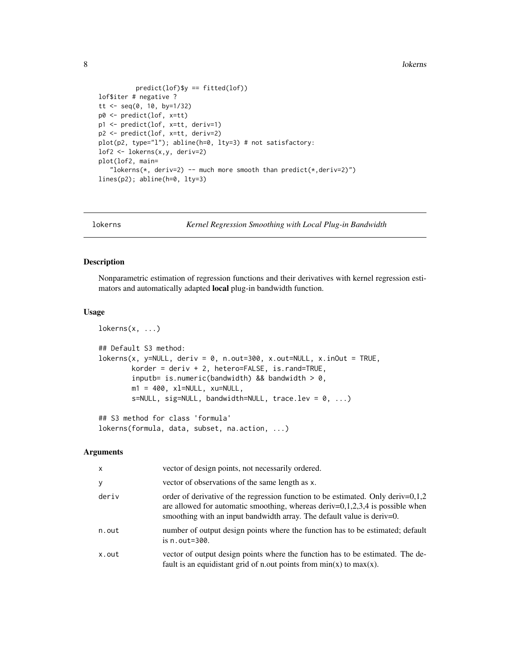8 lokerns and the state of the state of the state of the state of the state of the state of the state of the state of the state of the state of the state of the state of the state of the state of the state of the state of

```
predict(lof)$y == fitted(lof))lof$iter # negative ?
tt <- seq(0, 10, by=1/32)
p0 <- predict(lof, x=tt)
p1 <- predict(lof, x=tt, deriv=1)
p2 <- predict(lof, x=tt, deriv=2)
plot(p2, type="l"); abline(h=0, lty=3) # not satisfactory:
lof2 <- lokerns(x,y, deriv=2)
plot(lof2, main=
   "lokerns(*, deriv=2) -- much more smooth than predict(*, deriv=2)")
lines(p2); abline(h=0, lty=3)
```
<span id="page-7-1"></span>lokerns *Kernel Regression Smoothing with Local Plug-in Bandwidth*

#### Description

Nonparametric estimation of regression functions and their derivatives with kernel regression estimators and automatically adapted local plug-in bandwidth function.

#### Usage

```
lokerns(x, \ldots)## Default S3 method:
lokerns(x, y=NULL, deriv = 0, n.out=300, x.out=NULL, x.inOut = TRUE,korder = deriv + 2, hetero=FALSE, is.rand=TRUE,
        inputb= is.numeric(bandwidth) && bandwidth > 0,
       m1 = 400, x1=NULL, xu=NULL,
       s=NULL, sig=NULL, bandwidth=NULL, trace.lev = 0, ...)## S3 method for class 'formula'
```
lokerns(formula, data, subset, na.action, ...)

#### Arguments

| $\mathsf{x}$ | vector of design points, not necessarily ordered.                                                                                                                                                                                                 |
|--------------|---------------------------------------------------------------------------------------------------------------------------------------------------------------------------------------------------------------------------------------------------|
| y            | vector of observations of the same length as x.                                                                                                                                                                                                   |
| deriv        | order of derivative of the regression function to be estimated. Only deriv= $0,1,2$<br>are allowed for automatic smoothing, whereas deriv= $0,1,2,3,4$ is possible when<br>smoothing with an input bandwidth array. The default value is deriv=0. |
| n.out        | number of output design points where the function has to be estimated; default<br>is $n.out = 300$ .                                                                                                                                              |
| x.out        | vector of output design points where the function has to be estimated. The de-<br>fault is an equidistant grid of n.out points from $min(x)$ to $max(x)$ .                                                                                        |

<span id="page-7-0"></span>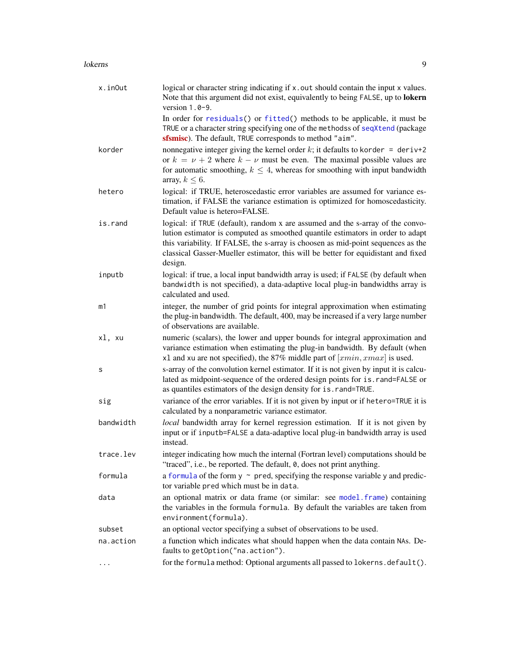#### <span id="page-8-0"></span>lokerns **9**

| x.inOut   | logical or character string indicating if x out should contain the input x values.<br>Note that this argument did not exist, equivalently to being FALSE, up to lokern<br>version $1.0-9$ .                                                                                                                                                          |
|-----------|------------------------------------------------------------------------------------------------------------------------------------------------------------------------------------------------------------------------------------------------------------------------------------------------------------------------------------------------------|
|           | In order for residuals() or fitted() methods to be applicable, it must be<br>TRUE or a character string specifying one of the methodss of seqXtend (package<br>sfsmisc). The default, TRUE corresponds to method "aim".                                                                                                                              |
| korder    | nonnegative integer giving the kernel order k; it defaults to korder = deriv+2<br>or $k = \nu + 2$ where $k - \nu$ must be even. The maximal possible values are<br>for automatic smoothing, $k \leq 4$ , whereas for smoothing with input bandwidth<br>array, $k \leq 6$ .                                                                          |
| hetero    | logical: if TRUE, heteroscedastic error variables are assumed for variance es-<br>timation, if FALSE the variance estimation is optimized for homoscedasticity.<br>Default value is hetero=FALSE.                                                                                                                                                    |
| is.rand   | logical: if TRUE (default), random x are assumed and the s-array of the convo-<br>lution estimator is computed as smoothed quantile estimators in order to adapt<br>this variability. If FALSE, the s-array is choosen as mid-point sequences as the<br>classical Gasser-Mueller estimator, this will be better for equidistant and fixed<br>design. |
| inputb    | logical: if true, a local input bandwidth array is used; if FALSE (by default when<br>bandwidth is not specified), a data-adaptive local plug-in bandwidths array is<br>calculated and used.                                                                                                                                                         |
| m1        | integer, the number of grid points for integral approximation when estimating<br>the plug-in bandwidth. The default, 400, may be increased if a very large number<br>of observations are available.                                                                                                                                                  |
| xl, xu    | numeric (scalars), the lower and upper bounds for integral approximation and<br>variance estimation when estimating the plug-in bandwidth. By default (when<br>x1 and xu are not specified), the 87% middle part of $[xmin, xmax]$ is used.                                                                                                          |
| s         | s-array of the convolution kernel estimator. If it is not given by input it is calcu-<br>lated as midpoint-sequence of the ordered design points for is.rand=FALSE or<br>as quantiles estimators of the design density for is.rand=TRUE.                                                                                                             |
| sig       | variance of the error variables. If it is not given by input or if hetero=TRUE it is<br>calculated by a nonparametric variance estimator.                                                                                                                                                                                                            |
| bandwidth | local bandwidth array for kernel regression estimation. If it is not given by<br>input or if inputb=FALSE a data-adaptive local plug-in bandwidth array is used<br>instead.                                                                                                                                                                          |
| trace.lev | integer indicating how much the internal (Fortran level) computations should be<br>"traced", i.e., be reported. The default, 0, does not print anything.                                                                                                                                                                                             |
| formula   | a formula of the form $y \sim$ pred, specifying the response variable y and predic-<br>tor variable pred which must be in data.                                                                                                                                                                                                                      |
| data      | an optional matrix or data frame (or similar: see model frame) containing<br>the variables in the formula formula. By default the variables are taken from<br>environment(formula).                                                                                                                                                                  |
| subset    | an optional vector specifying a subset of observations to be used.                                                                                                                                                                                                                                                                                   |
| na.action | a function which indicates what should happen when the data contain NAs. De-<br>faults to getOption("na.action").                                                                                                                                                                                                                                    |
|           | for the formula method: Optional arguments all passed to lokerns. default().                                                                                                                                                                                                                                                                         |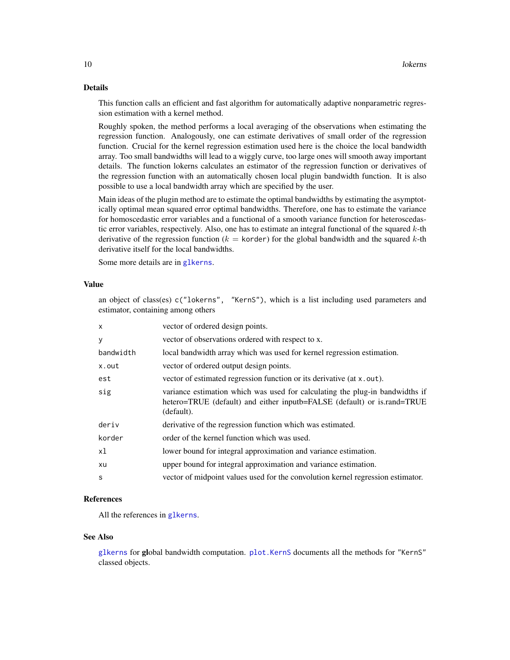#### <span id="page-9-0"></span>Details

This function calls an efficient and fast algorithm for automatically adaptive nonparametric regression estimation with a kernel method.

Roughly spoken, the method performs a local averaging of the observations when estimating the regression function. Analogously, one can estimate derivatives of small order of the regression function. Crucial for the kernel regression estimation used here is the choice the local bandwidth array. Too small bandwidths will lead to a wiggly curve, too large ones will smooth away important details. The function lokerns calculates an estimator of the regression function or derivatives of the regression function with an automatically chosen local plugin bandwidth function. It is also possible to use a local bandwidth array which are specified by the user.

Main ideas of the plugin method are to estimate the optimal bandwidths by estimating the asymptotically optimal mean squared error optimal bandwidths. Therefore, one has to estimate the variance for homoscedastic error variables and a functional of a smooth variance function for heteroscedastic error variables, respectively. Also, one has to estimate an integral functional of the squared  $k$ -th derivative of the regression function ( $k =$  korder) for the global bandwidth and the squared k-th derivative itself for the local bandwidths.

an object of class(es) c("lokerns", "KernS"), which is a list including used parameters and

Some more details are in [glkerns](#page-1-1).

estimator, containing among others

#### Value

| $\alpha$ . $\alpha$ . $\alpha$ . $\alpha$ . $\alpha$ . $\alpha$ . $\alpha$ . $\alpha$ . $\alpha$ . $\alpha$ . $\alpha$ . $\alpha$ . $\alpha$ . $\alpha$ . $\alpha$ . $\alpha$ . $\alpha$ . $\alpha$ . $\alpha$ . $\alpha$ . $\alpha$ . $\alpha$ . $\alpha$ . $\alpha$ . $\alpha$ . $\alpha$ . $\alpha$ . $\alpha$ . $\alpha$ . $\alpha$ . $\alpha$ . $\alpha$ . $\alpha$ . $\alpha$ . $\alpha$ . $\alpha$ . $\alpha$ . |                                                                                                                                                                       |  |
|------------------------------------------------------------------------------------------------------------------------------------------------------------------------------------------------------------------------------------------------------------------------------------------------------------------------------------------------------------------------------------------------------------------------|-----------------------------------------------------------------------------------------------------------------------------------------------------------------------|--|
| $\mathsf{x}$                                                                                                                                                                                                                                                                                                                                                                                                           | vector of ordered design points.                                                                                                                                      |  |
| y                                                                                                                                                                                                                                                                                                                                                                                                                      | vector of observations ordered with respect to x.                                                                                                                     |  |
| bandwidth                                                                                                                                                                                                                                                                                                                                                                                                              | local bandwidth array which was used for kernel regression estimation.                                                                                                |  |
| x.out                                                                                                                                                                                                                                                                                                                                                                                                                  | vector of ordered output design points.                                                                                                                               |  |
| est                                                                                                                                                                                                                                                                                                                                                                                                                    | vector of estimated regression function or its derivative (at x.out).                                                                                                 |  |
| sig                                                                                                                                                                                                                                                                                                                                                                                                                    | variance estimation which was used for calculating the plug-in bandwidths if<br>hetero=TRUE (default) and either inputb=FALSE (default) or is.rand=TRUE<br>(default). |  |
| deriv                                                                                                                                                                                                                                                                                                                                                                                                                  | derivative of the regression function which was estimated.                                                                                                            |  |
| korder                                                                                                                                                                                                                                                                                                                                                                                                                 | order of the kernel function which was used.                                                                                                                          |  |
| xl                                                                                                                                                                                                                                                                                                                                                                                                                     | lower bound for integral approximation and variance estimation.                                                                                                       |  |
| xu                                                                                                                                                                                                                                                                                                                                                                                                                     | upper bound for integral approximation and variance estimation.                                                                                                       |  |
| S                                                                                                                                                                                                                                                                                                                                                                                                                      | vector of midpoint values used for the convolution kernel regression estimator.                                                                                       |  |

#### References

All the references in [glkerns](#page-1-1).

#### See Also

[glkerns](#page-1-1) for global bandwidth computation. [plot.KernS](#page-5-1) documents all the methods for "KernS" classed objects.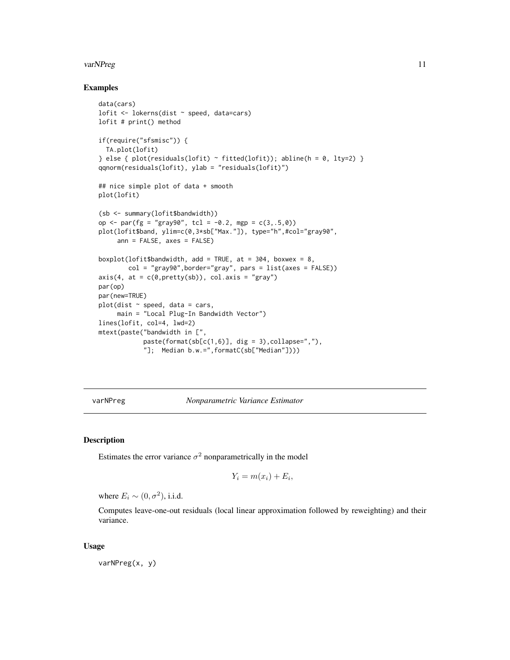#### <span id="page-10-0"></span>varNPreg 11

#### Examples

```
data(cars)
lofit <- lokerns(dist ~ speed, data=cars)
lofit # print() method
if(require("sfsmisc")) {
  TA.plot(lofit)
} else { plot(residuals(lofit) ~ fitted(lofit)); abline(h = 0, lty=2) }
qqnorm(residuals(lofit), ylab = "residuals(lofit)")
## nice simple plot of data + smooth
plot(lofit)
(sb <- summary(lofit$bandwidth))
op <- par(fg = "gray90", tcl = -0.2, mgp = c(3,.5,0))
plot(lofit$band, ylim=c(0,3*sb["Max."]), type="h",#col="gray90",
     ann = FALSE, axes = FALSE)
boxplot(lofit$bandwidth, add = TRUE, at = 304, boxwex = 8,
        col = "gray90", border="gray", parser = list(axes = FALSE))axis(4, at = c(0,pretty(sh)), col. axis = "gray")par(op)
par(new=TRUE)
plot(dist ~ ~ speed, data = cars,main = "Local Plug-In Bandwidth Vector")
lines(lofit, col=4, lwd=2)
mtext(paste("bandwidth in [",
            paste(format(sb[c(1,6)], dig = 3), collapse=',"'),"]; Median b.w.=",formatC(sb["Median"])))
```
varNPreg *Nonparametric Variance Estimator*

#### Description

Estimates the error variance  $\sigma^2$  nonparametrically in the model

$$
Y_i = m(x_i) + E_i,
$$

where  $E_i \sim (0, \sigma^2)$ , i.i.d.

Computes leave-one-out residuals (local linear approximation followed by reweighting) and their variance.

#### Usage

varNPreg(x, y)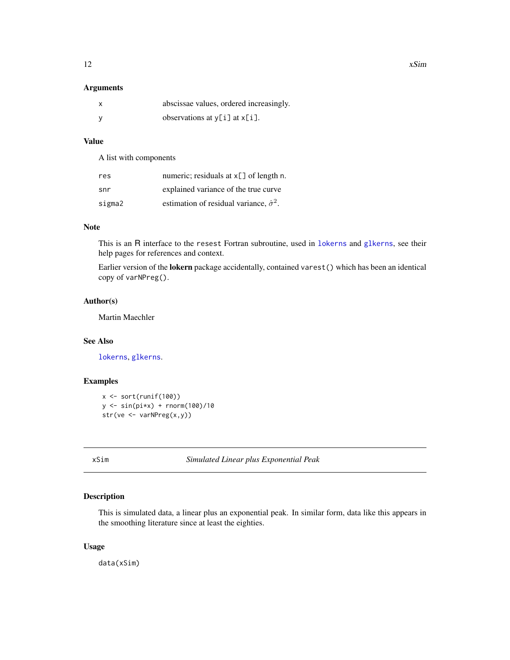#### <span id="page-11-0"></span>Arguments

| abscissae values, ordered increasingly. |
|-----------------------------------------|
| observations at $y[i]$ at $x[i]$ .      |

#### Value

A list with components

| res    | numeric; residuals at x[] of length n.              |
|--------|-----------------------------------------------------|
| snr    | explained variance of the true curve                |
| sigma2 | estimation of residual variance, $\hat{\sigma}^2$ . |

#### Note

This is an R interface to the resest Fortran subroutine, used in [lokerns](#page-7-1) and [glkerns](#page-1-1), see their help pages for references and context.

Earlier version of the lokern package accidentally, contained varest() which has been an identical copy of varNPreg().

#### Author(s)

Martin Maechler

#### See Also

[lokerns](#page-7-1), [glkerns](#page-1-1).

#### Examples

```
x \leftarrow sort(runif(100))y <- sin(pi*x) + rnorm(100)/10
str(ve <- varNPreg(x,y))
```
xSim *Simulated Linear plus Exponential Peak*

#### Description

This is simulated data, a linear plus an exponential peak. In similar form, data like this appears in the smoothing literature since at least the eighties.

#### Usage

data(xSim)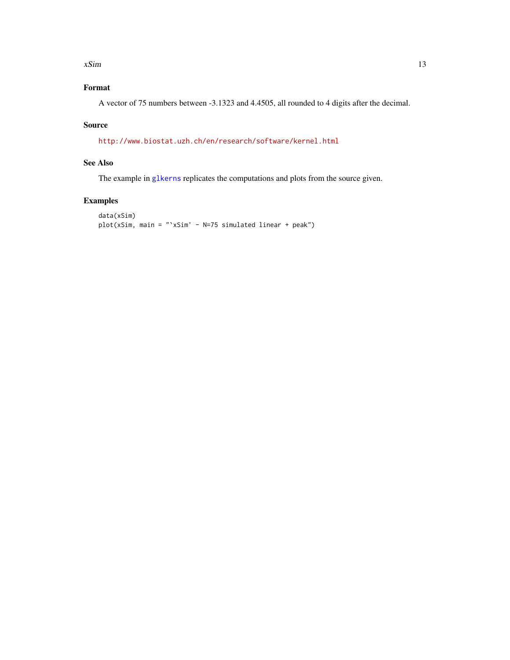#### <span id="page-12-0"></span> $xSim$  13

### Format

A vector of 75 numbers between -3.1323 and 4.4505, all rounded to 4 digits after the decimal.

#### Source

<http://www.biostat.uzh.ch/en/research/software/kernel.html>

#### See Also

The example in [glkerns](#page-1-1) replicates the computations and plots from the source given.

#### Examples

```
data(xSim)
plot(xSim, main = "`xSim' - N=75 simulated linear + peak")
```